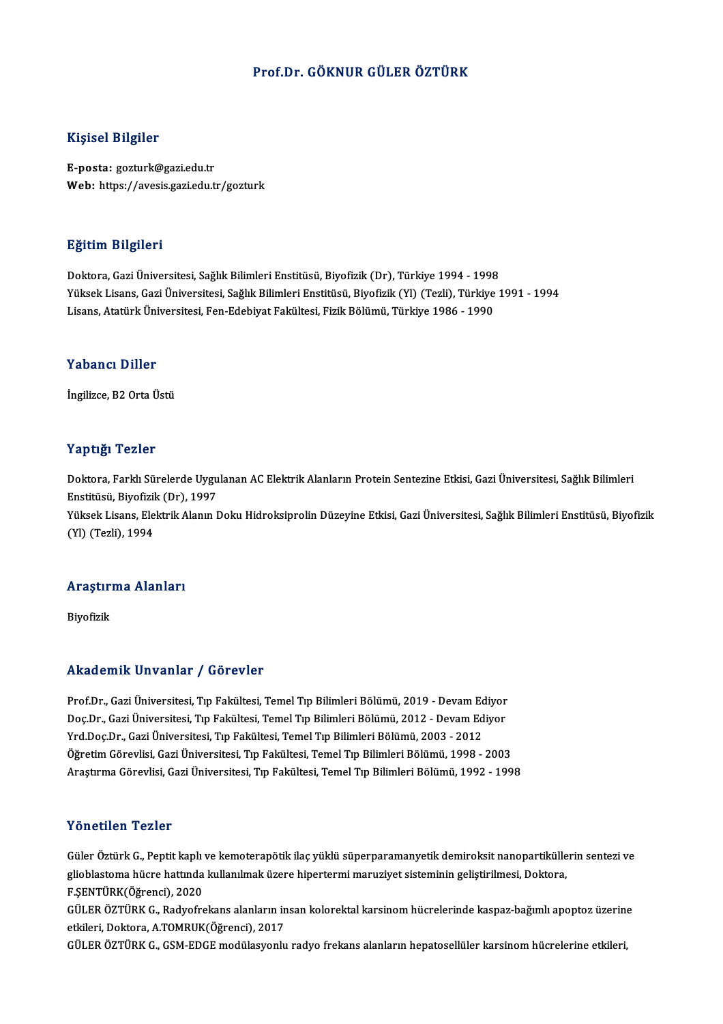#### Prof.Dr. GÖKNUR GÜLER ÖZTÜRK

#### Kişisel Bilgiler

E-posta: gozturk@gazi.edu.tr Web: https://avesis.gazi.edu.tr/gozturk

#### Eğitim Bilgileri

Doktora, Gazi Üniversitesi, Sağlık Bilimleri Enstitüsü, Biyofizik (Dr), Türkiye 1994 - 1998 Yüksek Lisans, Gazi Üniversitesi, Sağlık Bilimleri Enstitüsü, Biyofizik (Yl) (Tezli), Türkiye 1991 - 1994 Lisans, Atatürk Üniversitesi, Fen-Edebiyat Fakültesi, Fizik Bölümü, Türkiye 1986 - 1990

#### Yabancı Diller

İngilizce, B2 Orta Üstü

#### Yaptığı Tezler

Yaptığı Tezler<br>Doktora, Farklı Sürelerde Uygulanan AC Elektrik Alanların Protein Sentezine Etkisi, Gazi Üniversitesi, Sağlık Bilimleri<br>Enstitüsü, Biyofizik (Dr), 1997 1 ap 1321<br>Doktora, Farklı Sürelerde Uygu<br>Enstitüsü, Biyofizik (Dr), 1997<br>Yüksek Lisans, Flektrik Alanın I Doktora, Farklı Sürelerde Uygulanan AC Elektrik Alanların Protein Sentezine Etkisi, Gazi Üniversitesi, Sağlık Bilimleri<br>Enstitüsü, Biyofizik (Dr), 1997<br>Yüksek Lisans, Elektrik Alanın Doku Hidroksiprolin Düzeyine Etkisi, Ga Enstitüsü, Biyofizik (Dr), 1997<br>Yüksek Lisans, Elektrik Alanın Doku Hidroksiprolin Düzeyine Etkisi, Gazi Üniversitesi, Sağlık Bilimleri Enstitüsü, Biyofizik<br>(Yl) (Tezli), 1994

## (11) (1ezil), 1994<br>Araştırma Alanları <mark>Araştır</mark>:<br>Biyofizik

# Akademik Unvanlar / Görevler

Akademik Unvanlar / Görevler<br>Prof.Dr., Gazi Üniversitesi, Tıp Fakültesi, Temel Tıp Bilimleri Bölümü, 2019 - Devam Ediyor<br>Des.Dr., Gazi Üniversitesi, Tıp Fakültesi, Temel Tıp Bilimleri Bölümü, 2012, "Devam Ediyor rrittat Erik Erikanı'ny "dörevler"<br>Prof.Dr., Gazi Üniversitesi, Tıp Fakültesi, Temel Tıp Bilimleri Bölümü, 2019 - Devam Ediyor<br>Doç.Dr., Gazi Üniversitesi, Tıp Fakültesi, Temel Tıp Bilimleri Bölümü, 2012 - Devam Ediyor<br>Yrd Prof.Dr., Gazi Üniversitesi, Tıp Fakültesi, Temel Tıp Bilimleri Bölümü, 2019 - Devam Ed<br>Doç.Dr., Gazi Üniversitesi, Tıp Fakültesi, Temel Tıp Bilimleri Bölümü, 2012 - Devam Ed<br>Yrd.Doç.Dr., Gazi Üniversitesi, Tıp Fakültesi, Doç.Dr., Gazi Üniversitesi, Tıp Fakültesi, Temel Tıp Bilimleri Bölümü, 2012 - Devam Ediyor<br>Yrd.Doç.Dr., Gazi Üniversitesi, Tıp Fakültesi, Temel Tıp Bilimleri Bölümü, 2003 - 2012<br>Öğretim Görevlisi, Gazi Üniversitesi, Tıp Fa AraştırmaGörevlisi,GaziÜniversitesi,Tıp Fakültesi,TemelTıpBilimleriBölümü,1992 -1998

#### Yönetilen Tezler

Güler Öztürk G., Peptit kaplı ve kemoterapötik ilaç yüklü süperparamanyetik demiroksit nanopartiküllerin sentezi ve 1 on oenom 1 olnor<br>Güler Öztürk G., Peptit kaplı ve kemoterapötik ilaç yüklü süperparamanyetik demiroksit nanopartikülle<br>E SENTÜRK(Öğrengi), 2020 Güler Öztürk G., Peptit kaplı<br>glioblastoma hücre hattında<br>F.ŞENTÜRK(Öğrenci), 2020<br>CÜLEP ÖZTÜRK C. Radyafre glioblastoma hücre hattında kullanılmak üzere hipertermi maruziyet sisteminin geliştirilmesi, Doktora,<br>F.ŞENTÜRK(Öğrenci), 2020<br>GÜLER ÖZTÜRK G., Radyofrekans alanların insan kolorektal karsinom hücrelerinde kaspaz-bağımlı

F.ŞENTÜRK(Öğrenci), 2020<br>GÜLER ÖZTÜRK G., Radyofrekans alanların in<br>etkileri, Doktora, A.TOMRUK(Öğrenci), 2017<br>CÜLER ÖZTÜRK G. GSM EDGE modülasısınlı GÜLER ÖZTÜRK G., Radyofrekans alanların insan kolorektal karsinom hücrelerinde kaspaz-bağımlı apoptoz üzerin<br>etkileri, Doktora, A.TOMRUK(Öğrenci), 2017<br>GÜLER ÖZTÜRK G., GSM-EDGE modülasyonlu radyo frekans alanların hepatos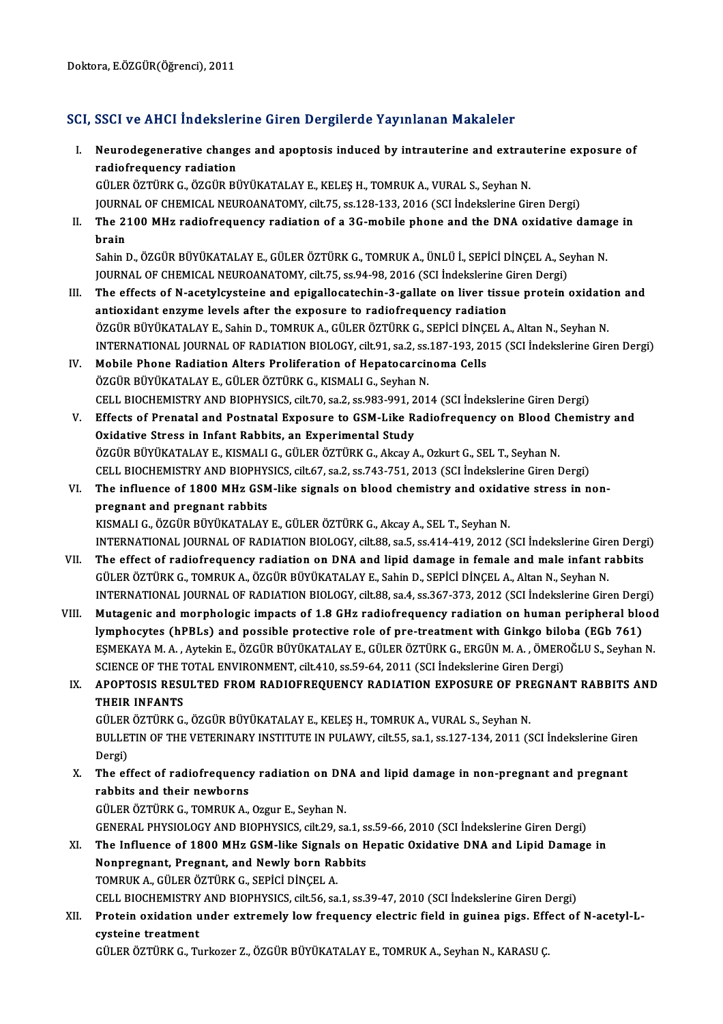### SCI, SSCI ve AHCI İndekslerine Giren Dergilerde Yayınlanan Makaleler

I. SSCI ve AHCI İndekslerine Giren Dergilerde Yayınlanan Makaleler<br>I. Neurodegenerative changes and apoptosis induced by intrauterine and extrauterine exposure of<br> radiafrequency radiation radiofrequency radiofrequency<br>radiofrequency radiation<br>ciu EP öztüpk c. özcüp Pi radiofrequency radiation<br>GÜLER ÖZTÜRK G., ÖZGÜR BÜYÜKATALAY E., KELEŞ H., TOMRUK A., VURAL S., Seyhan N.

radiofrequency radiation<br>GÜLER ÖZTÜRK G., ÖZGÜR BÜYÜKATALAY E., KELEŞ H., TOMRUK A., VURAL S., Seyhan N.<br>JOURNAL OF CHEMICAL NEUROANATOMY, cilt.75, ss.128-133, 2016 (SCI İndekslerine Giren Dergi)<br>The 2100 MHz radiofrequena

II. The 2100 MHz radiofrequency radiation of a 3G-mobile phone and the DNA oxidative damage in brain **JOURN**<br>The 2:<br>brain<br>Sobin I The 2100 MHz radiofrequency radiation of a 3G-mobile phone and the DNA oxidative damag<br>brain<br>Sahin D., ÖZGÜR BÜYÜKATALAY E., GÜLER ÖZTÜRK G., TOMRUK A., ÜNLÜ İ., SEPİCİ DİNÇEL A., Seyhan N.<br>JOUPMAL OE CHEMICAL NEUPOANATOMY

<mark>brain</mark><br>Sahin D., ÖZGÜR BÜYÜKATALAY E., GÜLER ÖZTÜRK G., TOMRUK A., ÜNLÜ İ., SEPİCİ DİNÇEL A., Se<br>JOURNAL OF CHEMICAL NEUROANATOMY, cilt.75, ss.94-98, 2016 (SCI İndekslerine Giren Dergi)<br>The effects of N asetyleysteine and JOURNAL OF CHEMICAL NEUROANATOMY, cilt.75, ss.94-98, 2016 (SCI Indekslerine Giren Dergi)

- III. The effects of N-acetylcysteine and epigallocatechin-3-gallate on liver tissue protein oxidation and antioxidant enzyme levels after the exposure to radiofrequency radiation ÖZGÜR BÜYÜKATALAY E., Sahin D., TOMRUK A., GÜLER ÖZTÜRK G., SEPİCİ DİNÇEL A., Altan N., Seyhan N. antioxidant enzyme levels after the exposure to radiofrequency radiation<br>ÖZGÜR BÜYÜKATALAY E., Sahin D., TOMRUK A., GÜLER ÖZTÜRK G., SEPİCİ DİNÇEL A., Altan N., Seyhan N.<br>INTERNATIONAL JOURNAL OF RADIATION BIOLOGY, cilt.91 ÖZGÜR BÜYÜKATALAY E., Sahin D., TOMRUK A., GÜLER ÖZTÜRK G., SEPİCİ DİNÇI<br>INTERNATIONAL JOURNAL OF RADIATION BIOLOGY, cilt.91, sa.2, ss.187-193, 20<br>IV. Mobile Phone Radiation Alters Proliferation of Hepatocarcinoma Cells<br>ÖZ
- INTERNATIONAL JOURNAL OF RADIATION BIOLOGY, cilt.91, sa.2, ss.<br>Mobile Phone Radiation Alters Proliferation of Hepatocarcir<br>ÖZGÜR BÜYÜKATALAY E., GÜLER ÖZTÜRK G., KISMALI G., Seyhan N.<br>CELL BIOCHEMISTRY AND BIORHYSICS. silt Mobile Phone Radiation Alters Proliferation of Hepatocarcinoma Cells<br>ÖZGÜR BÜYÜKATALAY E., GÜLER ÖZTÜRK G., KISMALI G., Seyhan N.<br>CELL BIOCHEMISTRY AND BIOPHYSICS, cilt.70, sa.2, ss.983-991, 2014 (SCI İndekslerine Giren De
- ÖZGÜR BÜYÜKATALAY E., GÜLER ÖZTÜRK G., KISMALI G., Seyhan N.<br>CELL BIOCHEMISTRY AND BIOPHYSICS, cilt.70, sa.2, ss.983-991, 2014 (SCI İndekslerine Giren Dergi)<br>V. Effects of Prenatal and Postnatal Exposure to GSM-Like Radiof CELL BIOCHEMISTRY AND BIOPHYSICS, cilt.70, sa.2, ss.983-991, 2<br>Effects of Prenatal and Postnatal Exposure to GSM-Like R<br>Oxidative Stress in Infant Rabbits, an Experimental Study<br>ÖZCÜP PÜVÜKATALAV E. KISMALLE, CÜLEP ÖZTÜPK ÖZGÜR BÜYÜKATALAY E., KISMALI G., GÜLER ÖZTÜRK G., Akcay A., Ozkurt G., SEL T., Seyhan N. Oxidative Stress in Infant Rabbits, an Experimental Study<br>ÖZGÜR BÜYÜKATALAY E., KISMALI G., GÜLER ÖZTÜRK G., Akcay A., Ozkurt G., SEL T., Seyhan N.<br>CELL BIOCHEMISTRY AND BIOPHYSICS, cilt.67, sa.2, ss.743-751, 2013 (SCI İnd
- VI. The influence of 1800 MHz GSM-like signals on blood chemistry and oxidative stress in non-**CELL BIOCHEMISTRY AND BIOPHY<br>The influence of 1800 MHz GSM<br>pregnant and pregnant rabbits<br>EXISMALLG ÖZGÜR RÜVÜKATALAV** KISMALI G., ÖZGÜR BÜYÜKATALAY E., GÜLER ÖZTÜRK G., Akcay A., SEL T., Seyhan N. INTERNATIONAL JOURNAL OF RADIATION BIOLOGY, cilt.88, sa.5, ss.414-419, 2012 (SCI İndekslerine Giren Dergi)
- VII. The effect of radiofrequency radiation on DNA and lipid damage in female and male infant rabbits GÜLERÖZTÜRKG.,TOMRUKA.,ÖZGÜRBÜYÜKATALAYE.,SahinD.,SEPİCİDİNÇELA.,AltanN.,SeyhanN. The effect of radiofrequency radiation on DNA and lipid damage in female and male infant rabbits<br>GÜLER ÖZTÜRK G., TOMRUK A., ÖZGÜR BÜYÜKATALAY E., Sahin D., SEPİCİ DİNÇEL A., Altan N., Seyhan N.<br>INTERNATIONAL JOURNAL OF RA GÜLER ÖZTÜRK G., TOMRUK A., ÖZGÜR BÜYÜKATALAY E., Sahin D., SEPİCİ DİNÇEL A., Altan N., Seyhan N.<br>INTERNATIONAL JOURNAL OF RADIATION BIOLOGY, cilt.88, sa.4, ss.367-373, 2012 (SCI İndekslerine Giren Dergi)<br>VIII. Mutagenic a
- INTERNATIONAL JOURNAL OF RADIATION BIOLOGY, cilt.88, sa.4, ss.367-373, 2012 (SCI İndekslerine Giren Derg<br>Mutagenic and morphologic impacts of 1.8 GHz radiofrequency radiation on human peripheral blo<br>lymphocytes (hPBLs) and Mutagenic and morphologic impacts of 1.8 GHz radiofrequency radiation on human peripheral blood<br>lymphocytes (hPBLs) and possible protective role of pre-treatment with Ginkgo biloba (EGb 761)<br>ESMEKAYA M. A. , Aytekin E., ÖZ lymphocytes (hPBLs) and possible protective role of pre-treatment with Ginkgo bilo<br>EŞMEKAYA M. A. , Aytekin E., ÖZGÜR BÜYÜKATALAY E., GÜLER ÖZTÜRK G., ERGÜN M. A. , ÖMERO<br>SCIENCE OF THE TOTAL ENVIRONMENT, cilt.410, ss.59-6 EŞMEKAYA M. A. , Aytekin E., ÖZGÜR BÜYÜKATALAY E., GÜLER ÖZTÜRK G., ERGÜN M. A. , ÖMEROĞLU S., Seyhan N.<br>SCIENCE OF THE TOTAL ENVIRONMENT, cilt.410, ss.59-64, 2011 (SCI İndekslerine Giren Dergi)<br>IX. APOPTOSIS RESULTED

### SCIENCE OF THE T<br>APOPTOSIS RESI<br>THEIR INFANTS<br>CÜLEP ÖZTÜPK C APOPTOSIS RESULTED FROM RADIOFREQUENCY RADIATION EXPOSURE OF PRI<br>THEIR INFANTS<br>GÜLER ÖZTÜRK G., ÖZGÜR BÜYÜKATALAY E., KELEŞ H., TOMRUK A., VURAL S., Seyhan N.<br>PULLETIN OF THE VETEPINARY INSTITUTE IN PULAWY, silt 55, s.a.1,

THEIR INFANTS<br>GÜLER ÖZTÜRK G., ÖZGÜR BÜYÜKATALAY E., KELEŞ H., TOMRUK A., VURAL S., Seyhan N.<br>BULLETIN OF THE VETERINARY INSTITUTE IN PULAWY, cilt.55, sa.1, ss.127-134, 2011 (SCI İndekslerine Giren<br>Dergi) GÜLER<br>BULLE<br>Dergi)<br>The of BULLETIN OF THE VETERINARY INSTITUTE IN PULAWY, cilt.55, sa.1, ss.127-134, 2011 (SCI Indekslerine Gire<br>Dergi)<br>X. The effect of radiofrequency radiation on DNA and lipid damage in non-pregnant and pregnant<br>rabbits and their

Dergi)<br>The effect of radiofrequency<br>rabbits and their newborns<br>CÜLEP ÖZTÜPK C. TOMPUK A The effect of radiofrequency radiation on DN<br>rabbits and their newborns<br>GÜLER ÖZTÜRK G., TOMRUK A., Ozgur E., Seyhan N.<br>CENERAL BHYSIOLOCY AND BIODHYSICS silt 29, 33

rabbits and their newborns<br>GÜLER ÖZTÜRK G., TOMRUK A., Ozgur E., Seyhan N.<br>GENERAL PHYSIOLOGY AND BIOPHYSICS, cilt.29, sa.1, ss.59-66, 2010 (SCI İndekslerine Giren Dergi) GÜLER ÖZTÜRK G., TOMRUK A., Ozgur E., Seyhan N.<br>GENERAL PHYSIOLOGY AND BIOPHYSICS, cilt.29, sa.1, ss.59-66, 2010 (SCI İndekslerine Giren Dergi)<br>XI. The Influence of 1800 MHz GSM-like Signals on Hepatic Oxidative DNA and Li

GENERAL PHYSIOLOGY AND BIOPHYSICS, cilt.29, sa.1, s:<br>The Influence of 1800 MHz GSM-like Signals on H<br>Nonpregnant, Pregnant, and Newly born Rabbits<br>TOMBUK A. CÜLER ÖZTÜRK C. SERICI DINCEL A The Influence of 1800 MHz GSM-like Signals<br>Nonpregnant, Pregnant, and Newly born Ra<br>TOMRUK A., GÜLER ÖZTÜRK G., SEPİCİ DİNÇEL A.<br>CELL PIOCHEMISTRY AND PIOPHYSICS silt EE SA Nonpregnant, Pregnant, and Newly born Rabbits<br>TOMRUK A., GÜLER ÖZTÜRK G., SEPİCİ DİNÇEL A.<br>CELL BIOCHEMISTRY AND BIOPHYSICS, cilt.56, sa.1, ss.39-47, 2010 (SCI İndekslerine Giren Dergi)<br>Pretein evidetian under evtremely le

### TOMRUK A., GÜLER ÖZTÜRK G., SEPİCİ DİNÇEL A.<br>CELL BIOCHEMISTRY AND BIOPHYSICS, cilt.56, sa.1, ss.39-47, 2010 (SCI İndekslerine Giren Dergi)<br>XII. Protein oxidation under extremely low frequency electric field in guinea pigs CELL BIOCHEMISTRY<br>Protein oxidation<br>cysteine treatment

GÜLER ÖZTÜRK G., Turkozer Z., ÖZGÜR BÜYÜKATALAY E., TOMRUK A., Seyhan N., KARASU Ç.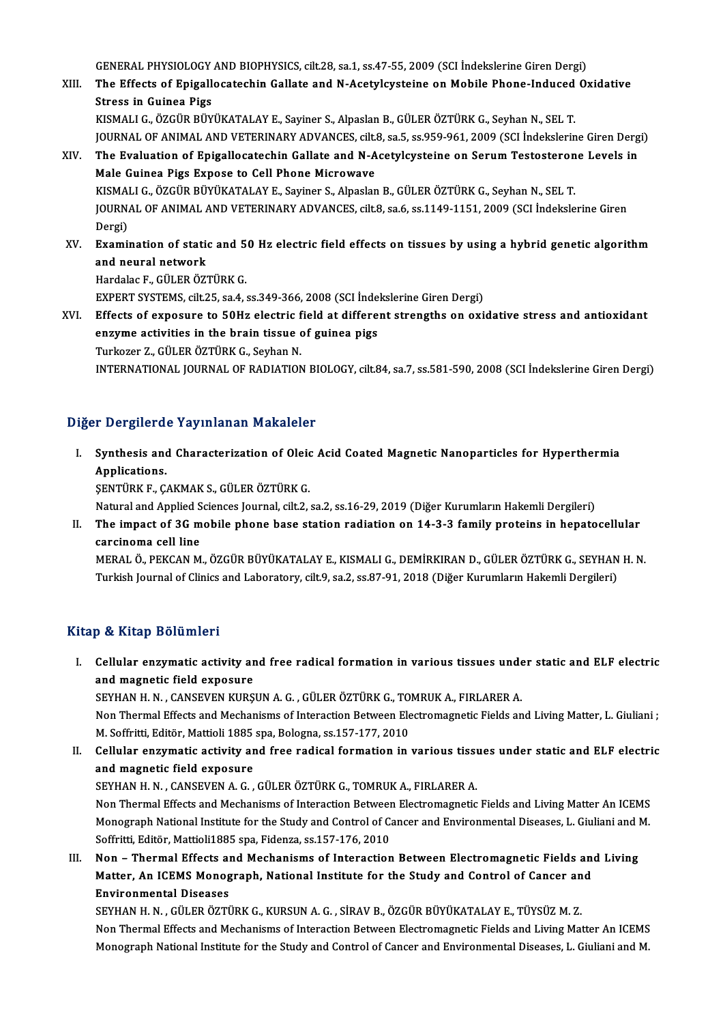GENERAL PHYSIOLOGY AND BIOPHYSICS, cilt.28, sa.1, ss.47-55, 2009 (SCI İndekslerine Giren Dergi)<br>The Effects of Enisellessteebin Callate and N.Asetyleysteine an Mabile Phane Indused Or

XIII. The Effects of Epigallocatechin Gallate and N-Acetylcysteine on Mobile Phone-Induced Oxidative<br>Stress in Guinea Pigs **GENERAL PHYSIOLOGY<br>The Effects of Epigall<br>Stress in Guinea Pigs<br>WISMALLC ÖZCÜP PÜV** 

KISMALIG.,ÖZGÜRBÜYÜKATALAYE.,Sayiner S.,AlpaslanB.,GÜLERÖZTÜRKG.,SeyhanN.,SEL T. Stress in Guinea Pigs<br>KISMALI G., ÖZGÜR BÜYÜKATALAY E., Sayiner S., Alpaslan B., GÜLER ÖZTÜRK G., Seyhan N., SEL T.<br>JOURNAL OF ANIMAL AND VETERINARY ADVANCES, cilt.8, sa.5, ss.959-961, 2009 (SCI İndekslerine Giren Dergi)<br>T KISMALI G., ÖZGÜR BÜYÜKATALAY E., Sayiner S., Alpaslan B., GÜLER ÖZTÜRK G., Seyhan N., SEL T.<br>JOURNAL OF ANIMAL AND VETERINARY ADVANCES, cilt.8, sa.5, ss.959-961, 2009 (SCI İndekslerine Giren Derg<br>XIV. The Evaluation o

- JOURNAL OF ANIMAL AND VETERINARY ADVANCES, cilt.<br>The Evaluation of Epigallocatechin Gallate and N-A<br>Male Guinea Pigs Expose to Cell Phone Microwave<br>KISMALLO ÖZCÜP PÜVÜKATALAY E-Saviner S-Alpeslan The Evaluation of Epigallocatechin Gallate and N-Acetylcysteine on Serum Testosteron<br>Male Guinea Pigs Expose to Cell Phone Microwave<br>KISMALI G., ÖZGÜR BÜYÜKATALAY E., Sayiner S., Alpaslan B., GÜLER ÖZTÜRK G., Seyhan N., SE Male Guinea Pigs Expose to Cell Phone Microwave<br>KISMALI G., ÖZGÜR BÜYÜKATALAY E., Sayiner S., Alpaslan B., GÜLER ÖZTÜRK G., Seyhan N., SEL T.<br>JOURNAL OF ANIMAL AND VETERINARY ADVANCES, cilt.8, sa.6, ss.1149-1151, 2009 (SCI KISMA<br>JOURN<br>Dergi)<br>Evami JOURNAL OF ANIMAL AND VETERINARY ADVANCES, cilt.8, sa.6, ss.1149-1151, 2009 (SCI İndekslerine Giren<br>Dergi)<br>XV. Examination of static and 50 Hz electric field effects on tissues by using a hybrid genetic algorithm<br>and noura
- Dergi)<br>Examination of station<br>and neural network<br>Hardalas E. CÜLERÖZ Examination of static and 5<br>and neural network<br>Hardalac F., GÜLER ÖZTÜRK G.<br>EYBERT SYSTEMS all 25 SOA 4 and neural network<br>Hardalac F., GÜLER ÖZTÜRK G.<br>EXPERT SYSTEMS, cilt.25, sa.4, ss.349-366, 2008 (SCI İndekslerine Giren Dergi)<br>Effects of expesure to EQUr electris field at different strengths en evi

Hardalac F., GÜLER ÖZTÜRK G.<br>EXPERT SYSTEMS, cilt.25, sa.4, ss.349-366, 2008 (SCI indekslerine Giren Dergi)<br>XVI. Effects of exposure to 50Hz electric field at different strengths on oxidative stress and antioxidant<br>ansume EXPERT SYSTEMS, cilt.25, sa.4, ss.349-366, 2008 (SCI Inde<br>Effects of exposure to 50Hz electric field at differe<br>enzyme activities in the brain tissue of guinea pigs<br>Turkerer 7, CUI EP ÖZTÜRK C. Sexban N Effects of exposure to 50Hz electric f<br>enzyme activities in the brain tissue of<br>Turkozer Z., GÜLER ÖZTÜRK G., Seyhan N.<br>INTERNATIONAL JOURNAL OF RADIATION enzyme activities in the brain tissue of guinea pigs<br>Turkozer Z., GÜLER ÖZTÜRK G., Seyhan N.<br>INTERNATIONAL JOURNAL OF RADIATION BIOLOGY, cilt.84, sa.7, ss.581-590, 2008 (SCI İndekslerine Giren Dergi)

#### Diğer Dergilerde Yayınlanan Makaleler

iğer Dergilerde Yayınlanan Makaleler<br>I. Synthesis and Characterization of Oleic Acid Coated Magnetic Nanoparticles for Hyperthermia<br>Applications *A*<br>**Synthesis and<br>Applications.**<br>SENTIDE E.C. Applications.<br>ŞENTÜRK F., ÇAKMAK S., GÜLER ÖZTÜRK G. Applications.<br>ŞENTÜRK F., ÇAKMAK S., GÜLER ÖZTÜRK G.<br>Natural and Applied Sciences Journal, cilt.2, sa.2, ss.16-29, 2019 (Diğer Kurumların Hakemli Dergileri)<br>The imnest of 3C mobile nhane base station redistion on 14, 3, 3

SENTÜRK F., ÇAKMAK S., GÜLER ÖZTÜRK G.<br>Natural and Applied Sciences Journal, cilt.2, sa.2, ss.16-29, 2019 (Diğer Kurumların Hakemli Dergileri)<br>II. The impact of 3G mobile phone base station radiation on 14-3-3 family p Natural and Applied S<br>The impact of 3G m<br>carcinoma cell line<br>MERAL Ö BEKCAN M The impact of 3G mobile phone base station radiation on 14-3-3 family proteins in hepatocellular<br>carcinoma cell line<br>MERAL Ö., PEKCAN M., ÖZGÜR BÜYÜKATALAY E., KISMALI G., DEMİRKIRAN D., GÜLER ÖZTÜRK G., SEYHAN H. N.<br>Turki

carcinoma cell line<br>MERAL Ö., PEKCAN M., ÖZGÜR BÜYÜKATALAY E., KISMALI G., DEMİRKIRAN D., GÜLER ÖZTÜRK G., SEYHAN H. N.<br>Turkish Journal of Clinics and Laboratory, cilt.9, sa.2, ss.87-91, 2018 (Diğer Kurumların Hakemli Derg

#### Kitap & Kitap Bölümleri

I. Cel ular enzymatic activity and free radical formation in various tissues under static and ELF electric Cellular enzymatic activity and<br>and magnetic field exposure<br>SEVUAN U.N. CANSEVEN VIDS Cellular enzymatic activity and free radical formation in various tissues unde<br>and magnetic field exposure<br>SEYHAN H. N. , CANSEVEN KURŞUN A. G. , GÜLER ÖZTÜRK G., TOMRUK A., FIRLARER A.<br>Non Thermal Effects and Mechanisms o

and magnetic field exposure<br>SEYHAN H. N. , CANSEVEN KURŞUN A. G. , GÜLER ÖZTÜRK G., TOMRUK A., FIRLARER A.<br>Non Thermal Effects and Mechanisms of Interaction Between Electromagnetic Fields and Living Matter, L. Giuliani ;<br>M SEYHAN H. N. , CANSEVEN KURŞUN A. G. , GÜLER ÖZTÜRK G., TO<br>Non Thermal Effects and Mechanisms of Interaction Between Ele<br>M. Soffritti, Editör, Mattioli 1885 spa, Bologna, ss.157-177, 2010<br>Collular ongumatic activity and fr Non Thermal Effects and Mechanisms of Interaction Between Electromagnetic Fields and Living Matter, L. Giuliani;<br>M. Soffritti, Editör, Mattioli 1885 spa, Bologna, ss.157-177, 2010<br>II. Cellular enzymatic activity and free r

M. Soffritti, Editör, Mattioli 1885<br>Cellular enzymatic activity ar<br>and magnetic field exposure Cellular enzymatic activity and free radical formation in various tissu<br>and magnetic field exposure<br>SEYHAN H. N. , CANSEVEN A. G. , GÜLER ÖZTÜRK G., TOMRUK A., FIRLARER A.<br>Non Thermal Effects and Mesbanisms of Intersation

and magnetic field exposure<br>SEYHAN H. N. , CANSEVEN A. G. , GÜLER ÖZTÜRK G., TOMRUK A., FIRLARER A.<br>Non Thermal Effects and Mechanisms of Interaction Between Electromagnetic Fields and Living Matter An ICEMS<br>Managraph Nati SEYHAN H. N. , CANSEVEN A. G. , GÜLER ÖZTÜRK G., TOMRUK A., FIRLARER A.<br>Non Thermal Effects and Mechanisms of Interaction Between Electromagnetic Fields and Living Matter An ICEMS<br>Monograph National Institute for the Study Non Thermal Effects and Mechanisms of Interaction Between<br>Monograph National Institute for the Study and Control of C.<br>Soffritti, Editör, Mattioli1885 spa, Fidenza, ss.157-176, 2010<br>Non – Thermal Effects and Mechanisms of Monograph National Institute for the Study and Control of Cancer and Environmental Diseases, L. Giuliani and I<br>Soffritti, Editör, Mattioli1885 spa, Fidenza, ss.157-176, 2010<br>III. Non – Thermal Effects and Mechanisms of Int

Soffritti, Editör, Mattioli1885 spa, Fidenza, ss.157-176, 2010<br>Non – Thermal Effects and Mechanisms of Interaction Between Electromagnetic Fields an<br>Matter, An ICEMS Monograph, National Institute for the Study and Control Non – Thermal Effects an<br>Matter, An ICEMS Monog<br>Environmental Diseases<br>SEVUAN U.N., CÜLED ÖZTI Matter, An ICEMS Monograph, National Institute for the Study and Control of Cancer and<br>Environmental Diseases<br>SEYHAN H. N. , GÜLER ÖZTÜRK G., KURSUN A. G. , SİRAV B., ÖZGÜR BÜYÜKATALAY E., TÜYSÜZ M. Z.

Non Thermal Effects and Mechanisms of Interaction Between Electromagnetic Fields and Living Matter An ICEMS Monograph National Institute for the Study and Control of Cancer and Environmental Diseases, L. Giuliani and M.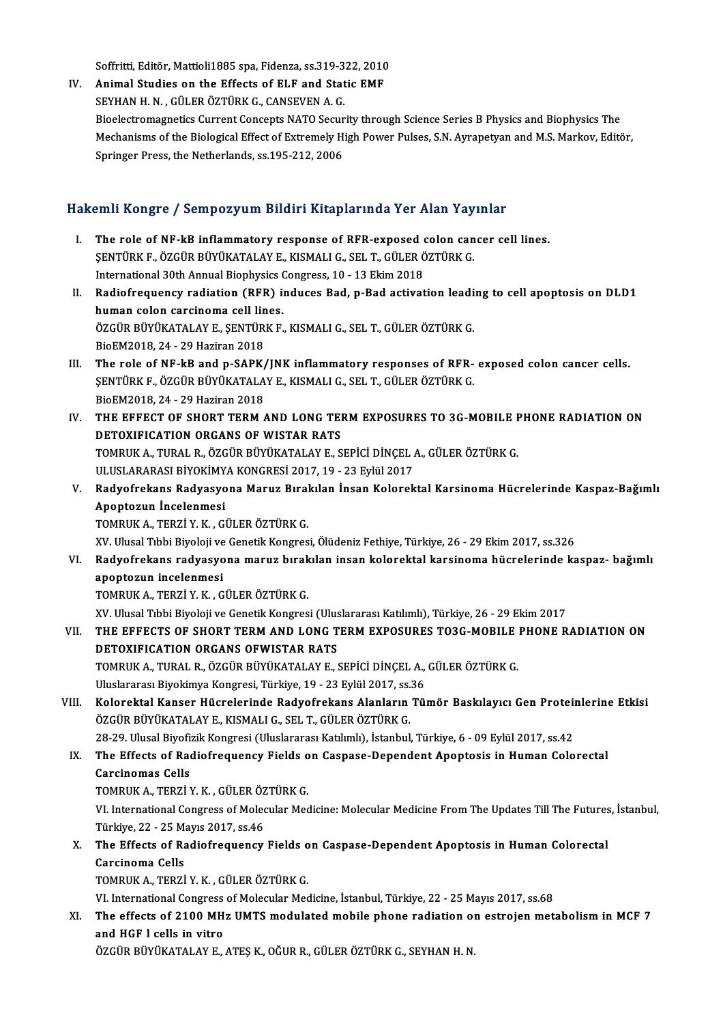Soffritti, Editör, Mattioli1885 spa, Fidenza, ss.319-322, 2010

Soffritti, Editör, Mattioli1885 spa, Fidenza, ss.319-322, 2010<br>IV. Animal Studies on the Effects of ELF and Static EMF<br>SEVUAN H.N. CÜLER ÖZTÜRK G. CANSEVEN A.C. Soffritti, Editör, Mattioli1885 spa, Fidenza, ss.319-3<br>Animal Studies on the Effects of ELF and Stat<br>SEYHAN H. N. , GÜLER ÖZTÜRK G., CANSEVEN A. G.<br>Pioclestromesmatics Current Consente NATO Segur Animal Studies on the Effects of ELF and Static EMF<br>SEYHAN H. N. , GÜLER ÖZTÜRK G., CANSEVEN A. G.<br>Bioelectromagnetics Current Concepts NATO Security through Science Series B Physics and Biophysics The<br>Mechanisms of the Bi SEYHAN H. N. , GÜLER ÖZTÜRK G., CANSEVEN A. G.<br>Bioelectromagnetics Current Concepts NATO Security through Science Series B Physics and Biophysics The<br>Mechanisms of the Biological Effect of Extremely High Power Pulses, S.N. Bioelectromagnetics Current Concepts NATO Secur<br>Mechanisms of the Biological Effect of Extremely H<br>Springer Press, the Netherlands, ss.195-212, 2006

#### HakemliKongre / SempozyumBildiriKitaplarında Yer Alan Yayınlar

I. The role of NF-kB inflammatory response of RFR-exposed colon cancer cell lines. SAHI HÖRGLÖ / SEMPOLYUM STAHT HISAPAI MUATTON HISATTURK<br>The role of NF-kB inflammatory response of RFR-exposed colon can<br>SENTÜRK F., ÖZGÜR BÜYÜKATALAY E., KISMALI G., SEL T., GÜLER ÖZTÜRK G.<br>International 20th Annual Bioph The role of NF-kB inflammatory response of RFR-exposed of SENTÜRK F., ÖZGÜR BÜYÜKATALAY E., KISMALI G., SEL T., GÜLER Ö<br>International 30th Annual Biophysics Congress, 10 - 13 Ekim 2018<br>Padiofraguency radiotion (BEB) induse II. Radiofrequency radiation (RFR) induces Bad, p-Bad activation leading to cell apoptosis on DLD1 human colon carcinoma cell lines. International 30th Annual Biophysics Congress, 10 - 13 Ekim 2018 Radiofrequency radiation (RFR) induces Bad, p-Bad activation leadi<br>human colon carcinoma cell lines.<br>ÖZGÜR BÜYÜKATALAY E., ŞENTÜRK F., KISMALI G., SEL T., GÜLER ÖZTÜRK G.<br>BioEM2018 24 - 29 Hariran 2019 human colon carcinoma cell lin<br>ÖZGÜR BÜYÜKATALAY E., ŞENTÜR<br>BioEM2018, 24 - 29 Haziran 2018<br>The role of NE LP and n SARK ÖZGÜR BÜYÜKATALAY E., ŞENTÜRK F., KISMALI G., SEL T., GÜLER ÖZTÜRK G.<br>BioEM2018, 24 - 29 Haziran 2018<br>III. The role of NF-kB and p-SAPK/JNK inflammatory responses of RFR- exposed colon cancer cells.<br>SENTÜRK E. ÖZGÜR BÜ BioEM2018, 24 - 29 Haziran 2018<br>The role of NF-kB and p-SAPK/JNK inflammatory responses of RFR-<br>ŞENTÜRK F., ÖZGÜR BÜYÜKATALAY E., KISMALI G., SEL T., GÜLER ÖZTÜRK G.<br>RiaEM2018, 24 - 29 Haziran 2019 The role of NF-kB and p-SAPK/<br>ŞENTÜRK F., ÖZGÜR BÜYÜKATALA<br>BioEM2018, 24 - 29 Haziran 2018<br>THE EEEECT OF SHOPT TEPM SENTÜRK F., ÖZGÜR BÜYÜKATALAY E., KISMALI G., SEL T., GÜLER ÖZTÜRK G.<br>BioEM2018, 24 - 29 Haziran 2018<br>IV. THE EFFECT OF SHORT TERM AND LONG TERM EXPOSURES TO 3G-MOBILE PHONE RADIATION ON DETOXIFICATION ORGANS OF WISTAR RATS THE EFFECT OF SHORT TERM AND LONG TERM EXPOSURES TO 3G-MOBILE I<br>DETOXIFICATION ORGANS OF WISTAR RATS<br>TOMRUK A., TURAL R., ÖZGÜR BÜYÜKATALAY E., SEPİCİ DİNÇEL A., GÜLER ÖZTÜRK G.<br>ULUSLARARASI RİYOKİMYA KONCRESİ 2017-19 - 22 DETOXIFICATION ORGANS OF WISTAR RATS<br>TOMRUK A., TURAL R., ÖZGÜR BÜYÜKATALAY E., SEPİCİ DİNÇEL *I*<br>ULUSLARARASI BİYOKİMYA KONGRESİ 2017, 19 - 23 Eylül 2017<br>Badyofrakara Badyasyana Maruz Bırakılan İnsan Kalarak V. Radyofrekans Radyasyona Maruz Bırakılan İnsan Kolorektal Karsinoma Hücrelerinde Kaspaz-Bağımlı<br>Apoptozun İncelenmesi ULUSLARARASI BİYOKİMYA KONGRESİ 2017, 19 - 23 Eylül 2017 TOMRUKA.,TERZİY.K. ,GÜLERÖZTÜRKG. XV.UlusalTıbbiBiyolojiveGenetikKongresi,ÖlüdenizFethiye,Türkiye,26 -29Ekim2017, ss.326 VI. Radyofrekans radyasyonamaruz bırakılan insan kolorektal karsinoma hücrelerinde kaspaz- bağımlı apoptozun incelenmesi TOMRUKA.,TERZİY.K. ,GÜLERÖZTÜRKG. XV.UlusalTıbbiBiyolojiveGenetikKongresi (UluslararasıKatılımlı),Türkiye,26 -29Ekim2017 TOMRUK A., TERZİ Y. K. , GÜLER ÖZTÜRK G.<br>XV. Ulusal Tıbbi Biyoloji ve Genetik Kongresi (Uluslararası Katılımlı), Türkiye, 26 - 29 Ekim 2017<br>VII. THE EFFECTS OF SHORT TERM AND LONG TERM EXPOSURES TO3G-MOBILE PHONE RADIA XV. Ulusal Tıbbi Biyoloji ve Genetik Kongresi (Ulus<br>THE EFFECTS OF SHORT TERM AND LONG T<br>DETOXIFICATION ORGANS OFWISTAR RATS<br>TOMBUK A. TURAL B. ÖZGÜR BÜYÜKATALAY E. ( THE EFFECTS OF SHORT TERM AND LONG TERM EXPOSURES TO3G-MOBILE<br>DETOXIFICATION ORGANS OFWISTAR RATS<br>TOMRUK A., TURAL R., ÖZGÜR BÜYÜKATALAY E., SEPİCİ DİNÇEL A., GÜLER ÖZTÜRK G.<br>Hivelararan Biyolimya Kongresi Türkiye 19, 22 E DETOXIFICATION ORGANS OFWISTAR RATS<br>TOMRUK A., TURAL R., ÖZGÜR BÜYÜKATALAY E., SEPİCİ DİNÇEL A.,<br>Uluslararası Biyokimya Kongresi, Türkiye, 19 - 23 Eylül 2017, ss.36<br>Kolorektal Kanser Hüsrelerinde Badyefrekans Alapların Tü. TOMRUK A., TURAL R., ÖZGÜR BÜYÜKATALAY E., SEPİCİ DİNÇEL A., GÜLER ÖZTÜRK G.<br>Uluslararası Biyokimya Kongresi, Türkiye, 19 - 23 Eylül 2017, ss.36<br>VIII. Kolorektal Kanser Hücrelerinde Radyofrekans Alanların Tümör Baskılayıcı Uluslararası Biyokimya Kongresi, Türkiye, 19 - 23 Eylül 2017, ss.<br>Kolorektal Kanser Hücrelerinde Radyofrekans Alanların<br>ÖZGÜR BÜYÜKATALAY E., KISMALI G., SEL T., GÜLER ÖZTÜRK G.<br>28.29. Ulusal Biyofizik Kongresi (Uluslarara Kolorektal Kanser Hücrelerinde Radyofrekans Alanların Tümör Baskılayıcı Gen Protei<br>ÖZGÜR BÜYÜKATALAY E., KISMALI G., SEL T., GÜLER ÖZTÜRK G.<br>28-29. Ulusal Biyofizik Kongresi (Uluslararası Katılımlı), İstanbul, Türkiye, 6 -IX. The Effects of Radiofrequency Fields on Caspase-Dependent Apoptosis in Human Colorectal 28-29. Ulusal Biyofi:<br>The Effects of Rad<br>Carcinomas Cells<br>TOMBUK A. TERZIA The Effects of Radiofrequency Fields o<br>Carcinomas Cells<br>TOMRUK A., TERZİ Y. K. , GÜLER ÖZTÜRK G.<br>VI. International Congress of Molegular Mes VI. International Congress of Molecular Medicine: Molecular Medicine From The Updates Till The Futures, İstanbul,<br>Türkiye, 22 - 25 Mayıs 2017, ss.46 TOMRUK A., TERZİ Y. K. , GÜLER ÖZ<br>VI. International Congress of Molec<br>Türkiye, 22 - 25 Mayıs 2017, ss.46<br>The Effects of Padiefrequency VI. International Congress of Molecular Medicine: Molecular Medicine From The Updates Till The Futures<br>Türkiye, 22 - 25 Mayıs 2017, ss.46<br>X. The Effects of Radiofrequency Fields on Caspase-Dependent Apoptosis in Human Colo Türkiye, 22 - 25 M<br>The Effects of Ra<br>Carcinoma Cells<br>TOMBUK A TERZI The Effects of Radiofrequency Fields o<br>Carcinoma Cells<br>TOMRUK A., TERZİ Y. K. , GÜLER ÖZTÜRK G.<br>VI. International Congress of Molegular Mes Carcinoma Cells<br>TOMRUK A., TERZİ Y. K. , GÜLER ÖZTÜRK G.<br>VI. International Congress of Molecular Medicine, İstanbul, Türkiye, 22 - 25 Mayıs 2017, ss.68 TOMRUK A., TERZİ Y. K. , GÜLER ÖZTÜRK G.<br>VI. International Congress of Molecular Medicine, İstanbul, Türkiye, 22 - 25 Mayıs 2017, ss.68<br>XI. The effects of 2100 MHz UMTS modulated mobile phone radiation on estrojen meta VI. International Congress<br>The effects of 2100 MH<br>and HGF l cells in vitro<br>ÖZCÜP PÜVÜKATALAV E The effects of 2100 MHz UMTS modulated mobile phone radiation o:<br>and HGF I cells in vitro<br>ÖZGÜR BÜYÜKATALAY E., ATEŞ K., OĞUR R., GÜLER ÖZTÜRK G., SEYHAN H. N.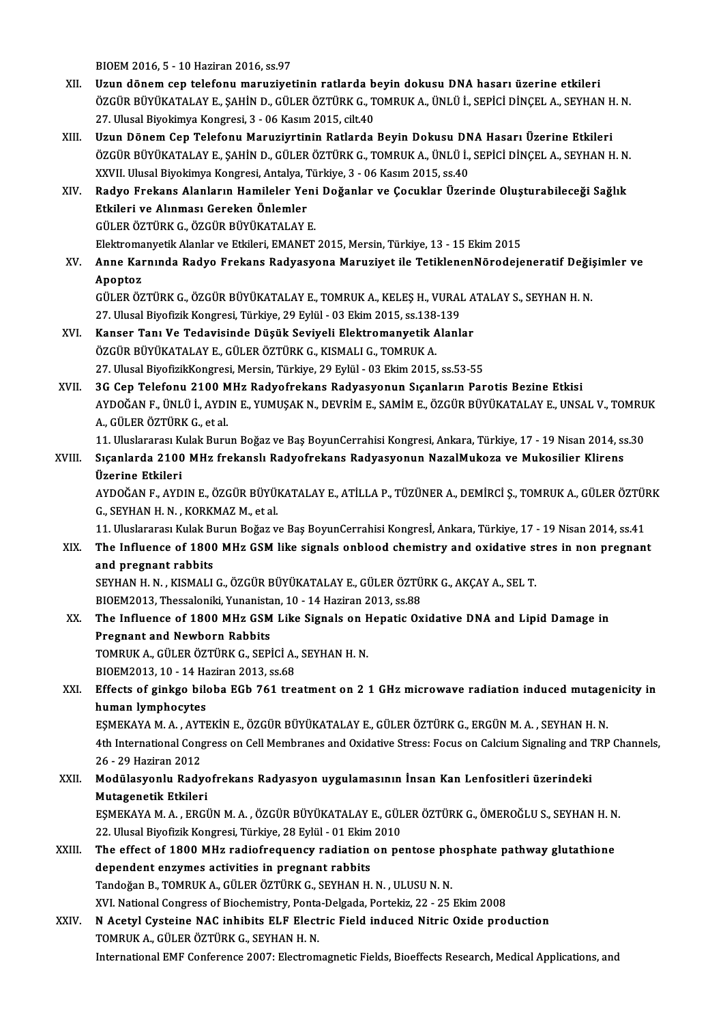BIOEM 2016, 5 - 10 Haziran 2016, ss.97

- XII. Uzun dönem cep telefonu maruziyetinin ratlarda beyin dokusu DNA hasarı üzerine etkileri BIOEM 2016, 5 - 10 Haziran 2016, ss.97<br>Uzun dönem cep telefonu maruziyetinin ratlarda beyin dokusu DNA hasarı üzerine etkileri<br>ÖZGÜR BÜYÜKATALAY E., ŞAHİN D., GÜLER ÖZTÜRK G., TOMRUK A., ÜNLÜ İ., SEPİCİ DİNÇEL A., SEYHAN H Uzun dönem cep telefonu maruziyetinin ratlarda b<br>ÖZGÜR BÜYÜKATALAY E., ŞAHİN D., GÜLER ÖZTÜRK G., T<br>27. Ulusal Biyokimya Kongresi, 3 - 06 Kasım 2015, cilt.40<br>Uzun Dönem Cen Telefonu Menuriyatinin Betlanda
- 27. Ulusal Biyokimya Kongresi, 3 06 Kasım 2015, cilt.40<br>XIII. Uzun Dönem Cep Telefonu Maruziyrtinin Ratlarda Beyin Dokusu DNA Hasarı Üzerine Etkileri 27. Ulusal Biyokimya Kongresi, 3 - 06 Kasım 2015, cilt.40<br>Uzun Dönem Cep Telefonu Maruziyrtinin Ratlarda Beyin Dokusu DNA Hasarı Üzerine Etkileri<br>ÖZGÜR BÜYÜKATALAY E., ŞAHİN D., GÜLER ÖZTÜRK G., TOMRUK A., ÜNLÜ İ., SEPİCİ Uzun Dönem Cep Telefonu Maruziyrtinin Ratlarda Beyin Dokusu DN<br>ÖZGÜR BÜYÜKATALAY E., ŞAHİN D., GÜLER ÖZTÜRK G., TOMRUK A., ÜNLÜ İ.,<br>XXVII. Ulusal Biyokimya Kongresi, Antalya, Türkiye, 3 - 06 Kasım 2015, ss.40<br>Badyo Erokans ÖZGÜR BÜYÜKATALAY E., ŞAHİN D., GÜLER ÖZTÜRK G., TOMRUK A., ÜNLÜ İ., SEPİCİ DİNÇEL A., SEYHAN H. N.<br>XXVII. Ulusal Biyokimya Kongresi, Antalya, Türkiye, 3 - 06 Kasım 2015, ss.40<br>XIV. Radyo Frekans Alanların Hamileler Ye
- XXVII. Ulusal Biyokimya Kongresi, Antalya, Türkiye, 3 06 Kasım 2015, ss.40<br>Radyo Frekans Alanların Hamileler Yeni Doğanlar ve Çocuklar Üzer<br>Etkileri ve Alınması Gereken Önlemler<br>GÜLER ÖZTÜRK G. ÖZGÜR BÜYÜKATALAY E. Radyo Frekans Alanların Hamileler Yeni Doğanlar ve Çocuklar Üzerinde Oluşturabileceği Sağlık Etkileri ve Alınması Gereken Önlemler<br>GÜLER ÖZTÜRK G., ÖZGÜR BÜYÜKATALAY E.<br>Elektromanyetik Alanlar ve Etkileri, EMANET 2015, Mersin, Türkiye, 13 - 15 Ekim 2015<br>Anne Kannında Badya Enekans Badyasyana Manusiyat ile Tetiklen

XV. Anne Karnında Radyo Frekans Radyasyona Maruziyet ile TetiklenenNörodejeneratif Değişimler ve<br>Apoptoz Elektroma<br><mark>Anne Kai</mark><br>Apoptoz<br>CÜLEP ÖZ Anne Karnında Radyo Frekans Radyasyona Maruziyet ile TetiklenenNörodejeneratif Deği;<br>Apoptoz<br>GÜLER ÖZTÜRK G., ÖZGÜR BÜYÜKATALAY E., TOMRUK A., KELEŞ H., VURAL ATALAY S., SEYHAN H. N.<br>27 Hlucel Biyofizik Kongresi Türkiyo 20

Apoptoz<br>GÜLER ÖZTÜRK G., ÖZGÜR BÜYÜKATALAY E., TOMRUK A., KELEŞ H., VURAI<br>27. Ulusal Biyofizik Kongresi, Türkiye, 29 Eylül - 03 Ekim 2015, ss.138-139<br>Kanser Tanı Ve Tedevisinde Düşük Seviyeli Elektromanyetik Alanlı GÜLER ÖZTÜRK G., ÖZGÜR BÜYÜKATALAY E., TOMRUK A., KELEŞ H., VURAL A<br>27. Ulusal Biyofizik Kongresi, Türkiye, 29 Eylül - 03 Ekim 2015, ss.138-139<br>XVI. Kanser Tanı Ve Tedavisinde Düşük Seviyeli Elektromanyetik Alanlar<br>ÖZCÜP P

- 27. Ulusal Biyofizik Kongresi, Türkiye, 29 Eylül 03 Ekim 2015, ss.138-139<br>Kanser Tanı Ve Tedavisinde Düşük Seviyeli Elektromanyetik Alanlar<br>ÖZGÜR BÜYÜKATALAY E., GÜLER ÖZTÜRK G., KISMALI G., TOMRUK A. 27.UlusalBiyofizikKongresi,Mersin,Türkiye,29Eylül -03Ekim2015, ss.53-55 ÖZGÜR BÜYÜKATALAY E., GÜLER ÖZTÜRK G., KISMALI G., TOMRUK A.<br>27. Ulusal BiyofizikKongresi, Mersin, Türkiye, 29 Eylül - 03 Ekim 2015, ss.53-55<br>XVII. 3G Cep Telefonu 2100 MHz Radyofrekans Radyasyonun Sıçanların Parotis Bezin
- 27. Ulusal BiyofizikKongresi, Mersin, Türkiye, 29 Eylül 03 Ekim 2015, ss.53-55<br>3G Cep Telefonu 2100 MHz Radyofrekans Radyasyonun Sıçanların Parotis Bezine Etkisi<br>AYDOĞAN F., ÜNLÜ İ., AYDIN E., YUMUŞAK N., DEVRİM E., SAMİ 3G Cep Telefonu 2100 M<br>AYDOĞAN F., ÜNLÜ İ., AYDI<br>A., GÜLER ÖZTÜRK G., et al.<br>11. Uluslararası Kulak Buru AYDOĞAN F., ÜNLÜ İ., AYDIN E., YUMUŞAK N., DEVRİM E., SAMİM E., ÖZGÜR BÜYÜKATALAY E., UNSAL V., TOMRU<br>A., GÜLER ÖZTÜRK G., et al.<br>11. Uluslararası Kulak Burun Boğaz ve Baş BoyunCerrahisi Kongresi, Ankara, Türkiye, 17 - 19

A., GÜLER ÖZTÜRK G., et al.<br>11. Uluslararası Kulak Burun Boğaz ve Baş BoyunCerrahisi Kongresi, Ankara, Türkiye, 17 - 19 Nisan 2014, ss<br>11. Sıçanlarda 2100 MHz frekanslı Radyofrekans Radyasyonun NazalMukoza ve Mukosilier Kl 11. Uluslararası K<br>Sıçanlarda 2100<br>Üzerine Etkileri<br>AVDOČAN E. AVD Sıçanlarda 2100 MHz frekanslı Radyofrekans Radyasyonun NazalMukoza ve Mukosilier Klirens<br>Üzerine Etkileri<br>AYDOĞAN F., AYDIN E., ÖZGÜR BÜYÜKATALAY E., ATİLLA P., TÜZÜNER A., DEMİRCİ Ş., TOMRUK A., GÜLER ÖZTÜRK<br>C. SEYHAN H.N

<mark>Üzerine Etkileri</mark><br>AYDOĞAN F., AYDIN E., ÖZGÜR BÜYÜ!<br>G., SEYHAN H. N. , KORKMAZ M., et al.<br>11. Uluslararası Kulak Burun Boğar v. AYDOĞAN F., AYDIN E., ÖZGÜR BÜYÜKATALAY E., ATİLLA P., TÜZÜNER A., DEMİRCİ Ş., TOMRUK A., GÜLER ÖZTÜI<br>G., SEYHAN H. N. , KORKMAZ M., et al.<br>11. Uluslararası Kulak Burun Boğaz ve Baş BoyunCerrahisi Kongresİ, Ankara, Türkiye

11. Uluslararası Kulak Burun Boğaz ve Baş BoyunCerrahisi Kongresl, Ankara, Türkiye, 17 - 19 Nisan 2014, ss.41

### G., SEYHAN H. N., KORKMAZ M., et al.<br>11. Uluslararası Kulak Burun Boğaz ve Baş BoyunCerrahisi Kongresİ, Ankara, Türkiye, 17 - 19 Nisan 2014, ss.41<br>XIX. The Influence of 1800 MHz GSM like signals onblood chemistry and o The Influence of 1800 MHz GSM like signals onblood chemistry and oxidative st<br>and pregnant rabbits<br>SEYHAN H. N. , KISMALI G., ÖZGÜR BÜYÜKATALAY E., GÜLER ÖZTÜRK G., AKÇAY A., SEL T.<br>BIOEM2012, Thessaloniki Yunopistan 10, 1

and pregnant rabbits<br>SEYHAN H. N. , KISMALI G., ÖZGÜR BÜYÜKATALAY E., GÜLER ÖZTÜ<br>BIOEM2013, Thessaloniki, Yunanistan, 10 - 14 Haziran 2013, ss.88<br>The Influence of 1800 MHz CSM Like Signals en Henatis Ov SEYHAN H. N. , KISMALI G., ÖZGÜR BÜYÜKATALAY E., GÜLER ÖZTÜRK G., AKÇAY A., SEL T.<br>BIOEM2013, Thessaloniki, Yunanistan, 10 - 14 Haziran 2013, ss.88<br>XX. The Influence of 1800 MHz GSM Like Signals on Hepatic Oxidative DN

### BIOEM2013, Thessaloniki, Yunanista<br>The Influence of 1800 MHz GSM<br>Pregnant and Newborn Rabbits<br>TOMBUK A. CÜLER ÖZTÜRK C. SERI The Influence of 1800 MHz GSM Like Signals on F<br>Pregnant and Newborn Rabbits<br>TOMRUK A., GÜLER ÖZTÜRK G., SEPİCİ A., SEYHAN H. N.<br>PIOEM2012-10 - 14 Herinan 2012-8268 Pregnant and Newborn Rabbits<br>TOMRUK A., GÜLER ÖZTÜRK G., SEPİCİ A.,<br>BIOEM2013, 10 - 14 Haziran 2013, ss.68<br>Effecte of sinkse bilebe ECb 761 tre

### TOMRUK A., GÜLER ÖZTÜRK G., SEPİCİ A., SEYHAN H. N.<br>BIOEM2013, 10 - 14 Haziran 2013, ss.68<br>XXI. Effects of ginkgo biloba EGb 761 treatment on 2 1 GHz microwave radiation induced mutagenicity in<br>human lymphocytes BIOEM2013, 10 - 14 Hz<br>Effects of ginkgo bile<br>human lymphocytes<br>ESMEKAYA M A - AYTH Effects of ginkgo biloba EGb 761 treatment on 2 1 GHz microwave radiation induced mutage<br>human lymphocytes<br>EŞMEKAYA M.A., AYTEKİN E., ÖZGÜR BÜYÜKATALAY E., GÜLER ÖZTÜRK G., ERGÜN M.A., SEYHAN H. N.<br>4th International Conste

human lymphocytes<br>EŞMEKAYA M. A. , AYTEKİN E., ÖZGÜR BÜYÜKATALAY E., GÜLER ÖZTÜRK G., ERGÜN M. A. , SEYHAN H. N.<br>4th International Congress on Cell Membranes and Oxidative Stress: Focus on Calcium Signaling and TRP Channel EŞMEKAYA M. A. , AYT<br>4th International Cong<br>26 - 29 Haziran 2012<br>Medülasyonlu Bady 4th International Congress on Cell Membranes and Oxidative Stress: Focus on Calcium Signaling and 1<br>26 - 29 Haziran 2012<br>XXII. Modülasyonlu Radyofrekans Radyasyon uygulamasının İnsan Kan Lenfositleri üzerindeki<br>Mutagonatik

### 26 - 29 Haziran 2012<br>Modülasyonlu Radyo<br>Mutagenetik Etkileri<br>ESMEKAVA M.A., ERCİ Modülasyonlu Radyofrekans Radyasyon uygulamasının İnsan Kan Lenfositleri üzerindeki<br>Mutagenetik Etkileri<br>EŞMEKAYA M. A. , ERGÜN M. A. , ÖZGÜR BÜYÜKATALAY E., GÜLER ÖZTÜRK G., ÖMEROĞLU S., SEYHAN H. N.<br>22 Hlusel Biyofizik K

Mutagenetik Etkileri<br>EŞMEKAYA M. A. , ERGÜN M. A. , ÖZGÜR BÜYÜKATALAY E., GÜL<br>22. Ulusal Biyofizik Kongresi, Türkiye, 28 Eylül - 01 Ekim 2010<br>The effect ef 1800 MHz rediofrequengu rediation en ne EŞMEKAYA M. A. , ERGÜN M. A. , ÖZGÜR BÜYÜKATALAY E., GÜLER ÖZTÜRK G., ÖMEROĞLU S., SEYHAN H. N<br>22. Ulusal Biyofizik Kongresi, Türkiye, 28 Eylül - 01 Ekim 2010<br>XXIII. The effect of 1800 MHz radiofrequency radiation on p

### 22. Ulusal Biyofizik Kongresi, Türkiye, 28 Eylül - 01 Ekim 2010<br>The effect of 1800 MHz radiofrequency radiation on pentose phosphate pathway glutathione<br>dependent enzymes activities in pregnant rabbits TandoğanB.,TOMRUKA.,GÜLERÖZTÜRKG.,SEYHANH.N. ,ULUSUN.N. dependent enzymes activities in pregnant rabbits<br>Tandoğan B., TOMRUK A., GÜLER ÖZTÜRK G., SEYHAN H. N. , ULUSU N. N.<br>XVI. National Congress of Biochemistry, Ponta-Delgada, Portekiz, 22 - 25 Ekim 2008<br>N. Acetul Cysteine NAC

XXIV. N Acetyl Cysteine NAC inhibits ELF Electric Field induced Nitric Oxide production<br>TOMRUK A., GÜLER ÖZTÜRK G., SEYHAN H. N. XVI. National Congress of Biochemistry, Ponta<br>N Acetyl Cysteine NAC inhibits ELF Elect<br>TOMRUK A., GÜLER ÖZTÜRK G., SEYHAN H. N.<br>International EME Conference 2007: Electrom International EMF Conference 2007: Electromagnetic Fields, Bioeffects Research, Medical Applications, and